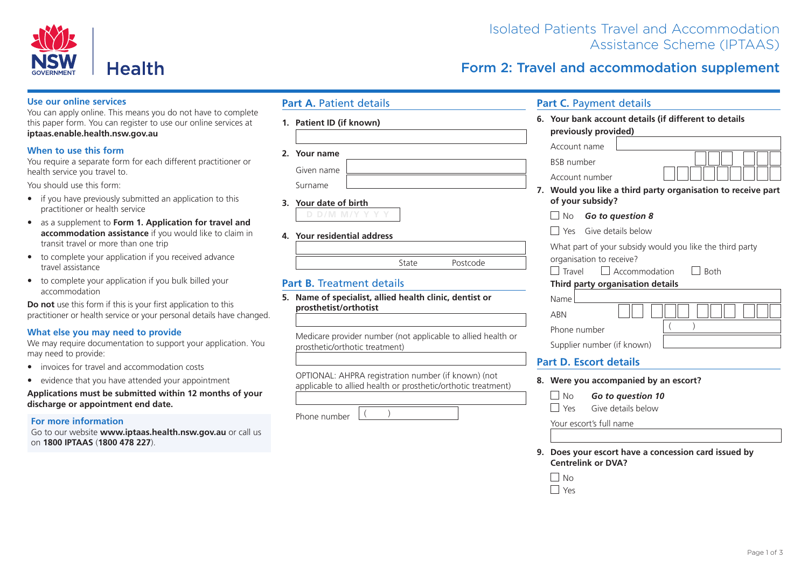

# Isolated Patients Travel and Accommodation Assistance Scheme (IPTAAS)

Form 2: Travel and accommodation supplement

#### **Use our online services**

You can apply online. This means you do not have to complete this paper form. You can register to use our online services at **iptaas.enable.health.nsw.gov.au**

### **When to use this form**

You require a separate form for each different practitioner or health service you travel to.

You should use this form:

- if you have previously submitted an application to this practitioner or health service
- as a supplement to **Form 1. Application for travel and accommodation assistance** if you would like to claim in transit travel or more than one trip
- to complete your application if you received advance travel assistance
- to complete your application if you bulk billed your accommodation

**Do not** use this form if this is your first application to this practitioner or health service or your personal details have changed.

### **What else you may need to provide**

We may require documentation to support your application. You may need to provide:

- invoices for travel and accommodation costs
- evidence that you have attended your appointment

**Applications must be submitted within 12 months of your discharge or appointment end date.**

#### **For more information**

Go to our website **www.iptaas.health.nsw.gov.au** or call us on **1800 IPTAAS** (**1800 478 227**).

### **Part A. Patient details**

**1. Patient ID (if known)**

| - 7 | Your name |  |
|-----|-----------|--|

| Given name |  |
|------------|--|
| Surname    |  |

**3. Your date of birth D D/M M/Y Y Y Y**

**4. Your residential address**

## **Part B.** Treatment details

**5. Name of specialist, allied health clinic, dentist or prosthetist/orthotist**

Medicare provider number (not applicable to allied health or prosthetic/orthotic treatment)

OPTIONAL: AHPRA registration number (if known) (not applicable to allied health or prosthetic/orthotic treatment)

Phone number

| Your bank account details (if different to details                                  |  |  |  |  |  |
|-------------------------------------------------------------------------------------|--|--|--|--|--|
| previously provided)                                                                |  |  |  |  |  |
| Account name                                                                        |  |  |  |  |  |
| <b>BSB</b> number                                                                   |  |  |  |  |  |
| Account number                                                                      |  |  |  |  |  |
| Would you like a third party organisation to receive part<br>7.<br>of your subsidy? |  |  |  |  |  |
| l No<br>Go to question 8                                                            |  |  |  |  |  |
| l Yes Give details below                                                            |  |  |  |  |  |
| What part of your subsidy would you like the third party                            |  |  |  |  |  |
| organisation to receive?                                                            |  |  |  |  |  |
| Accommodation<br>Travel<br>l Roth                                                   |  |  |  |  |  |
| Third party organisation details                                                    |  |  |  |  |  |
| Name                                                                                |  |  |  |  |  |
| <b>ARN</b>                                                                          |  |  |  |  |  |
| $\left($<br>Phone number                                                            |  |  |  |  |  |
| Supplier number (if known)                                                          |  |  |  |  |  |
| <b>Part D. Escort details</b>                                                       |  |  |  |  |  |
| Were you accompanied by an escort?                                                  |  |  |  |  |  |
| l No<br>Go to question 10                                                           |  |  |  |  |  |
| Yes<br>Give details below                                                           |  |  |  |  |  |
| Your escort's full name                                                             |  |  |  |  |  |
|                                                                                     |  |  |  |  |  |

**9. Does your escort have a concession card issued by Centrelink or DVA?**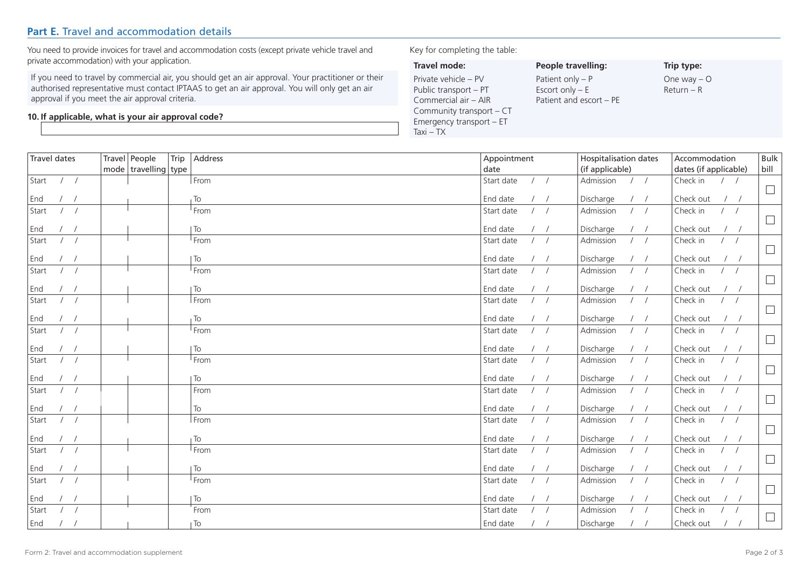# **Part E.** Travel and accommodation details

You need to provide invoices for travel and accommodation costs (except private vehicle travel and private accommodation) with your application.

If you need to travel by commercial air, you should get an air approval. Your practitioner or their authorised representative must contact IPTAAS to get an air approval. You will only get an air approval if you meet the air approval criteria.

#### **10. If applicable, what is your air approval code?**

### Key for completing the table:

| Travel mode:             | People travelli    |
|--------------------------|--------------------|
| Private vehicle - PV     | Patient only $- P$ |
| Public transport - PT    | Escort only $- E$  |
| Commercial air - AIR     | Patient and esco   |
| Community transport – CT |                    |
| Emergency transport - ET |                    |
| $Taxi - TX$              |                    |

**People travelling:** atient and escort – PE **Trip type:** One way – O Return – R

Bulk

| <b>Travel dates</b>             | Travel People<br>Trip    | Address         | Appointment                    | Hospitalisation dates         | Accommodation                                               | Bull   |
|---------------------------------|--------------------------|-----------------|--------------------------------|-------------------------------|-------------------------------------------------------------|--------|
|                                 | mode   travelling   type |                 | date                           | (if applicable)               | dates (if applicable)                                       | bill   |
| Start<br>$\frac{1}{2}$          |                          | From            | Start date<br>$\left  \right $ | Admission<br>1 <sup>1</sup>   | Check in<br>$\frac{1}{2}$                                   | $\Box$ |
| End<br>$\frac{1}{2}$            |                          | To              | End date<br>$\left  \right $   | Discharge<br>$\frac{1}{2}$    | Check out<br>$\frac{1}{2}$                                  |        |
| Start<br>$\left  \right $       |                          | From            | Start date<br>$/$ /            | Admission<br>$\left  \right $ | Check in<br>$\left  \right $                                | $\Box$ |
| End<br>$\prime$ /               |                          | To              | End date<br>$\left  \right $   | Discharge<br>$\frac{1}{2}$    | Check out<br>$\left  \right $                               |        |
| Start<br>$\frac{1}{2}$          |                          | From            | Start date<br>$\frac{1}{2}$    | Admission<br>1                | Check in<br>$/$ /                                           | $\Box$ |
| End<br>$\overline{\phantom{a}}$ |                          | To              | End date<br>$\frac{1}{2}$      | Discharge<br>$/$ /            | Check out<br>$\left  \right $                               |        |
| Start<br>$\frac{1}{2}$          |                          | From            | Start date<br>$/$ /            | 1<br>Admission                | Check in<br>$\frac{1}{2}$                                   | $\Box$ |
| End<br>$\overline{\phantom{a}}$ |                          | To              | End date<br>$\frac{1}{2}$      | $/$ /<br>Discharge            | Check out<br>$\frac{1}{2}$                                  |        |
| Start<br>$\frac{1}{2}$          |                          | From            | Start date<br>$/$ /            | $\frac{1}{2}$<br>Admission    | Check in<br>$\frac{1}{2}$                                   | $\Box$ |
| End<br>$\overline{\phantom{a}}$ |                          | To              | End date<br>$\frac{1}{2}$      | Discharge<br>$/$ /            | Check out<br>$\left  \right $                               |        |
| Start<br>$/$ /                  |                          | From            | Start date<br>$\frac{1}{2}$    | 1<br>Admission                | Check in<br>$/$ /                                           | $\Box$ |
| End<br>$\overline{\phantom{a}}$ |                          | To              | End date<br>$\frac{1}{2}$      | Discharge<br>1/               | Check out<br>$\left  \right $                               |        |
| Start<br>$\frac{1}{2}$          |                          | From            | Start date<br>$\frac{1}{2}$    | 1<br>Admission                | Check in<br>$\frac{1}{2}$                                   | $\Box$ |
| End<br>$\frac{1}{2}$            |                          | To              | End date<br>$/$ /              | $/$ /<br>Discharge            | Check out<br>$\frac{1}{2}$                                  |        |
| Start<br>$\frac{1}{2}$          |                          | From            | Start date<br>$\frac{1}{2}$    | 1<br>Admission                | Check in<br>$\frac{1}{2}$                                   | $\Box$ |
| End<br>$\left  \right $         |                          | To              | End date<br>$\frac{1}{2}$      | 1<br>Discharge                | Check out<br>$\left  \right $                               |        |
| Start<br>$/$ /                  |                          | From            | $\frac{1}{2}$<br>Start date    | 1 <sup>1</sup><br>Admission   | Check in<br>$\frac{1}{2}$                                   | $\Box$ |
| End<br>$\sqrt{ }$               |                          | To              | End date<br>$\left  \right $   | $\frac{1}{2}$<br>Discharge    | Check out<br>$\frac{1}{2}$                                  |        |
| Start<br>$\left  \right $       |                          | From            | Start date<br>$\frac{1}{2}$    | Admission<br>$\frac{1}{2}$    | Check in<br>$\frac{1}{2}$                                   | $\Box$ |
| End<br>$\sqrt{ }$               |                          | To              | End date<br>$/$ /              | $/$ /<br>Discharge            | Check out<br>$\frac{1}{2}$                                  |        |
| Start<br>$\left  \right $       |                          | From            | Start date<br>$\frac{1}{2}$    | Admission<br>$\left  \right $ | Check in<br>$\frac{1}{2}$                                   | $\Box$ |
| End<br>$\sqrt{ }$               |                          | To              | End date<br>$\frac{1}{2}$      | Discharge<br>$/$ /            | Check out<br>$\left  \right $                               |        |
| Start<br>$\left  \right $       |                          | From            | Start date<br>$\frac{1}{2}$    | 1/<br>Admission               | Check in<br>$\frac{1}{2}$                                   | $\Box$ |
| End<br>$\left  \right $         |                          | $\overline{10}$ | End date<br>1 <sup>1</sup>     | Discharge<br>$\frac{1}{2}$    | Check out<br>$\left  \begin{array}{cc} \end{array} \right $ |        |